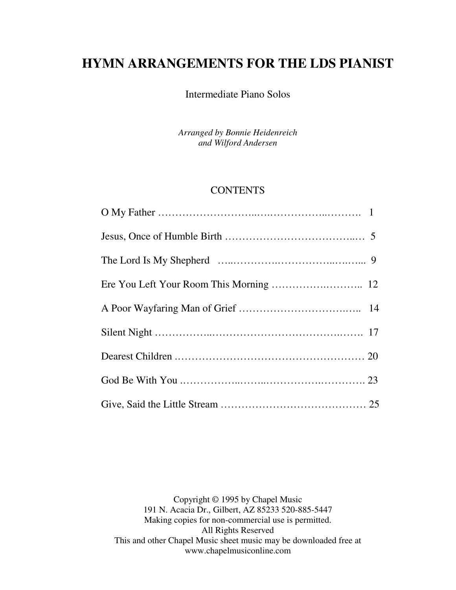### **HYMN ARRANGEMENTS FOR THE LDS PIANIST**

Intermediate Piano Solos

*Arranged by Bonnie Heidenreich and Wilford Andersen* 

#### **CONTENTS**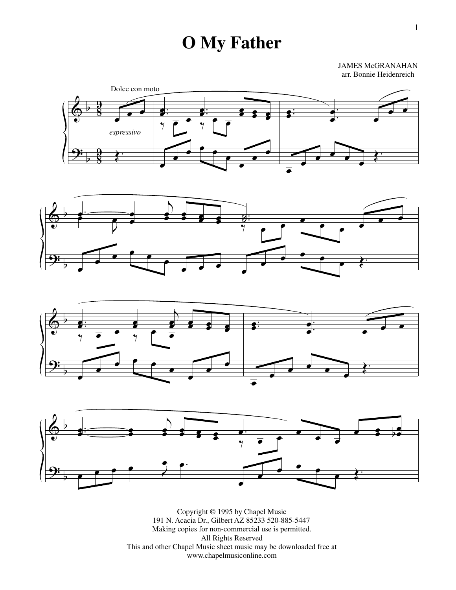### **O My Father**

JAMES McGRANAHAN arr. Bonnie Heidenreich







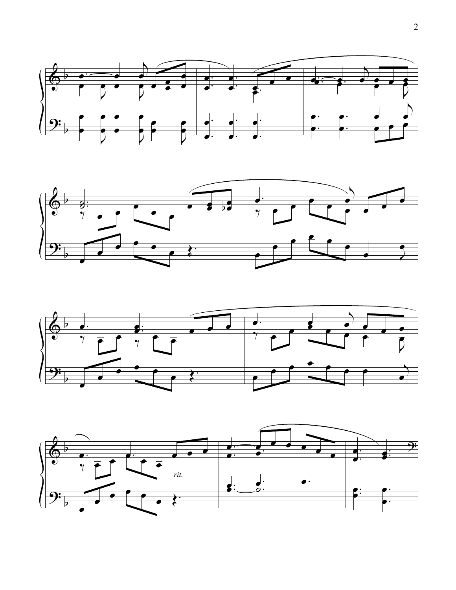





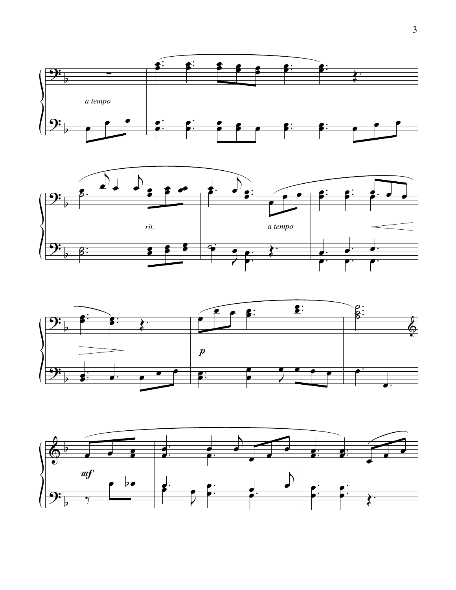





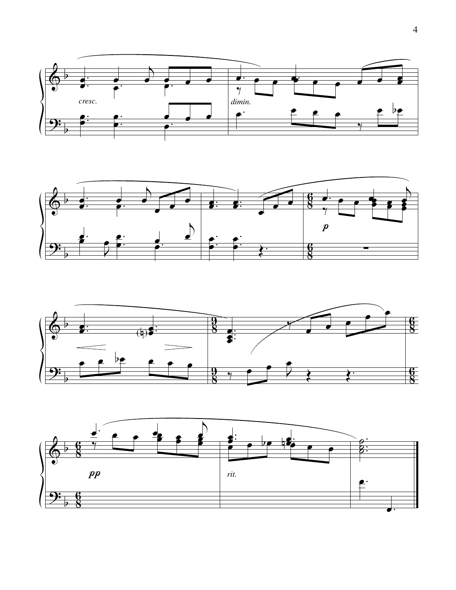





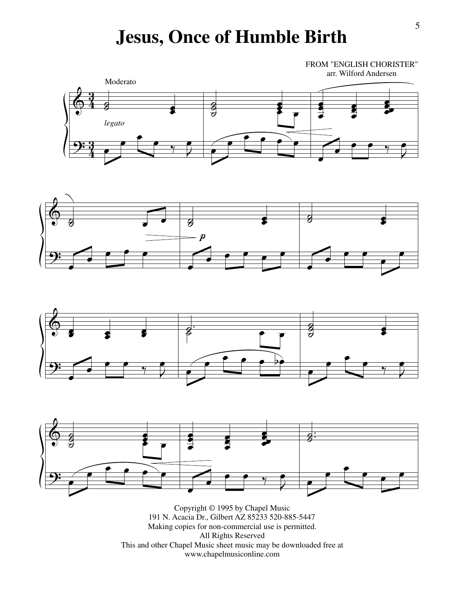### **Jesus, Once of Humble Birth**

FROM "ENGLISH CHORISTER" arr. Wilford Andersen









Copyright © 1995 by Chapel Music 191 N. Acacia Dr., Gilbert AZ 85233 520-885-5447 Making copies for non-commercial use is permitted. All Rights Reserved This and other Chapel Music sheet music may be downloaded free at www.chapelmusiconline.com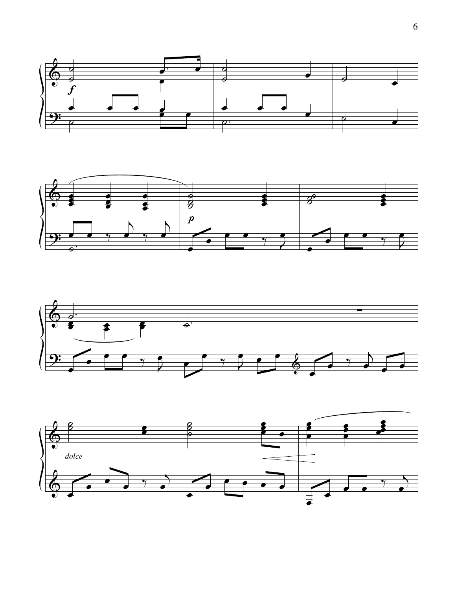





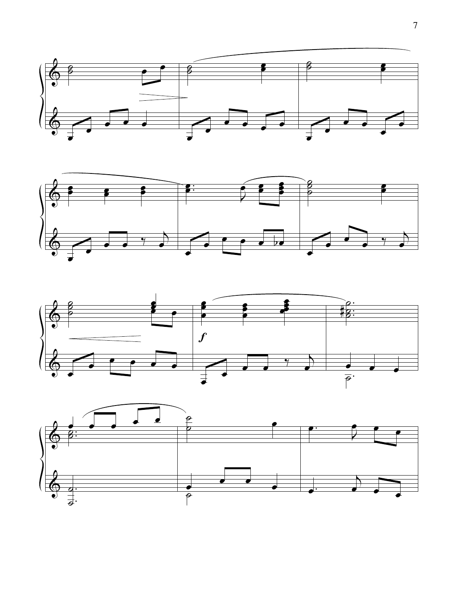





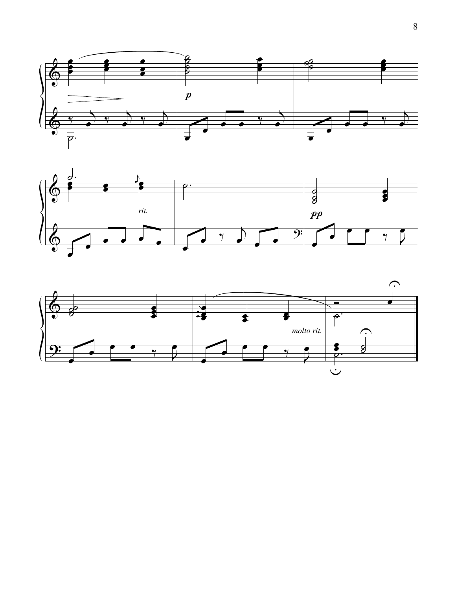



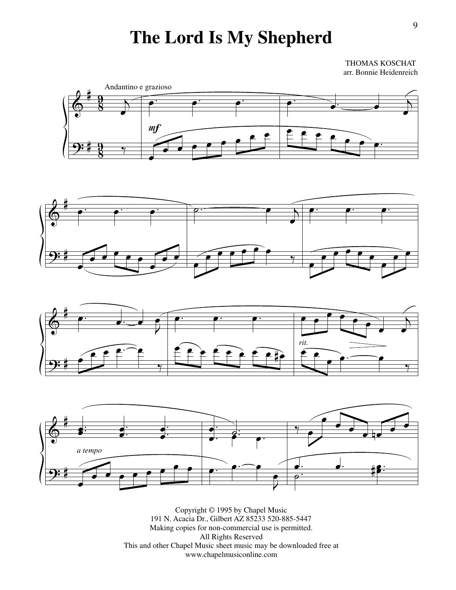### **The Lord Is My Shepherd**

THOMAS KOSCHAT arr. Bonnie Heidenreich







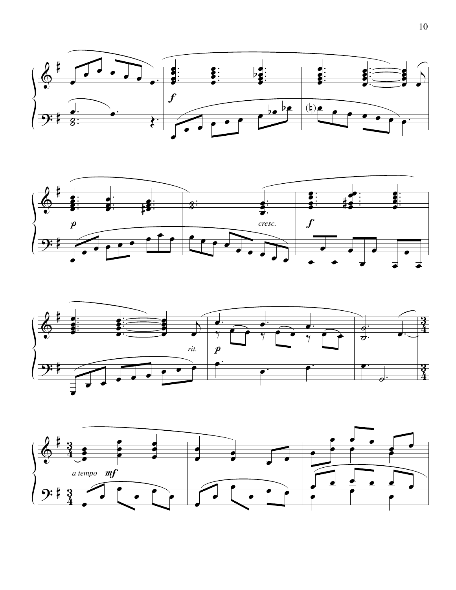





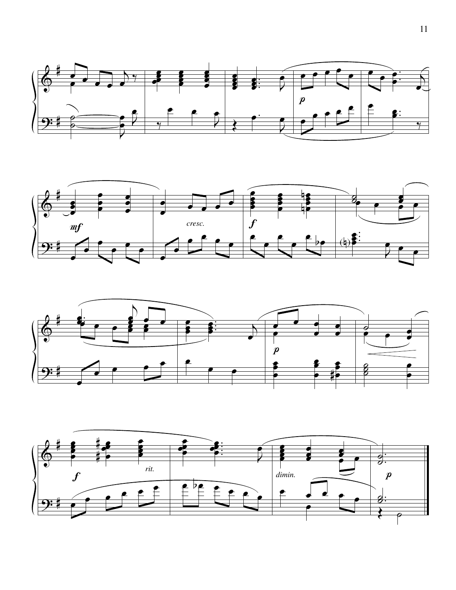





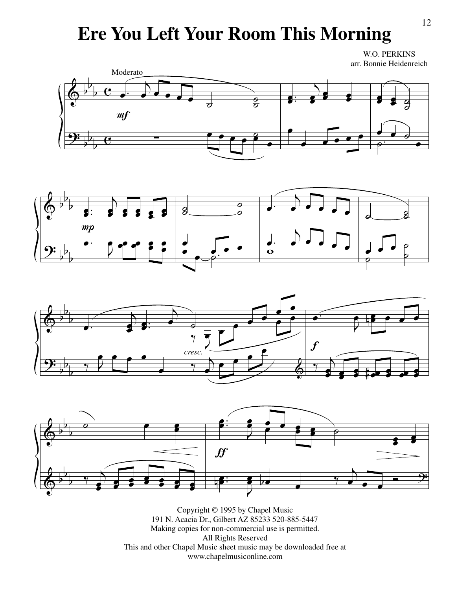### **Ere You Left Your Room This Morning**

W.O. PERKINS arr. Bonnie Heidenreich







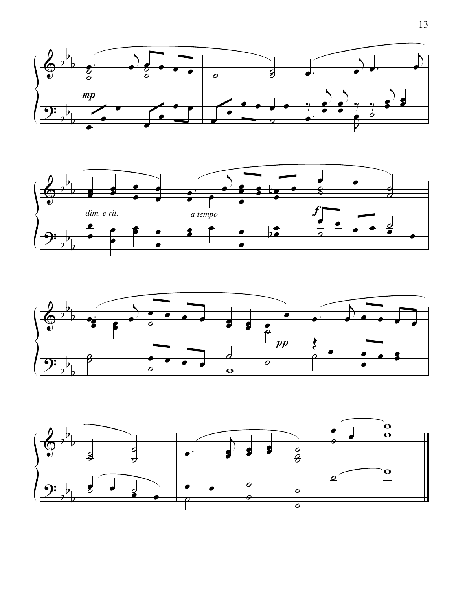





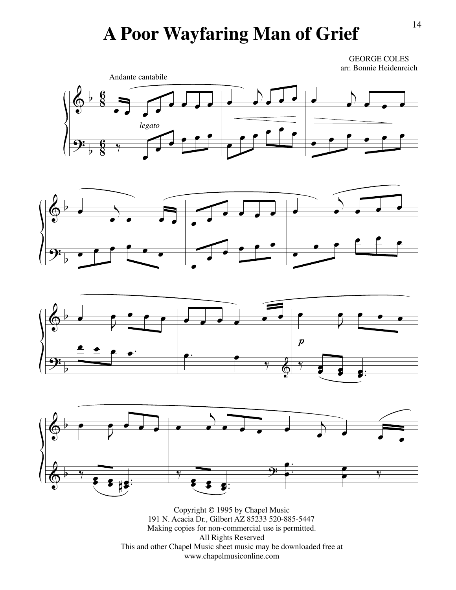# A Poor Wayfaring Man of Grief  $14$

GEORGE COLES arr. Bonnie Heidenreich







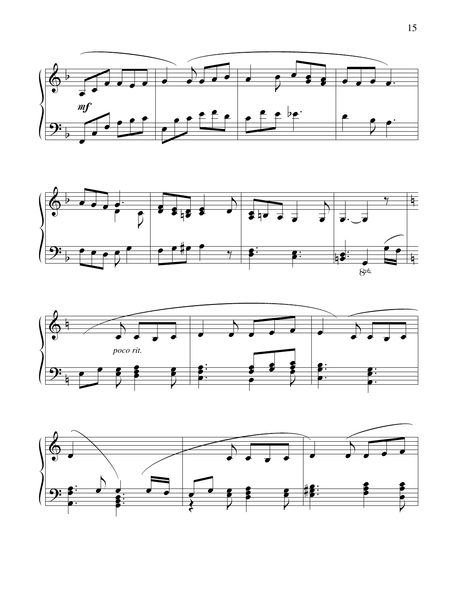





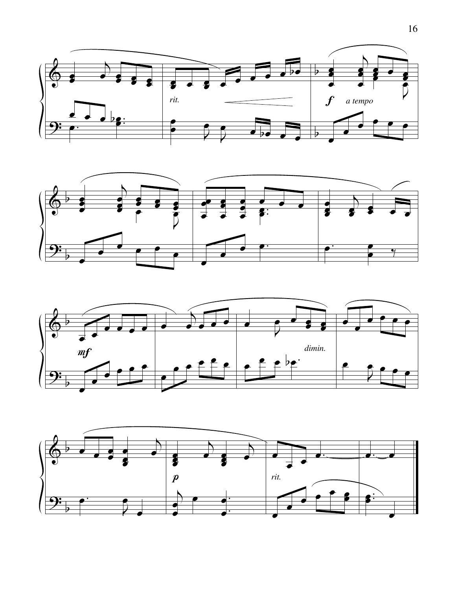





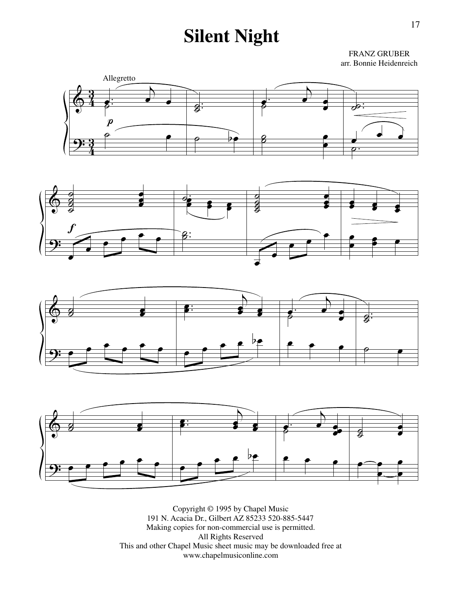### **Silent Night**

FRANZ GRUBER arr. Bonnie Heidenreich







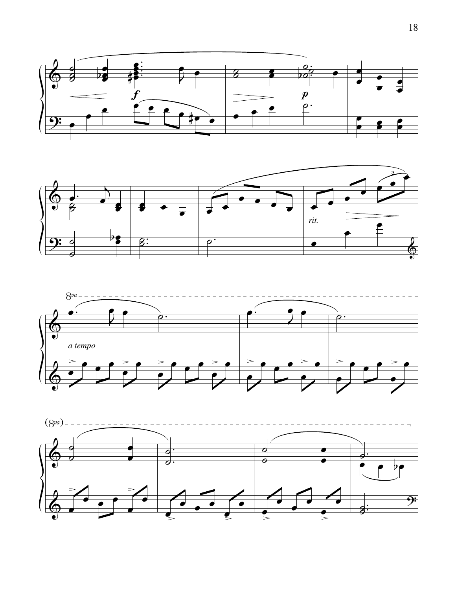





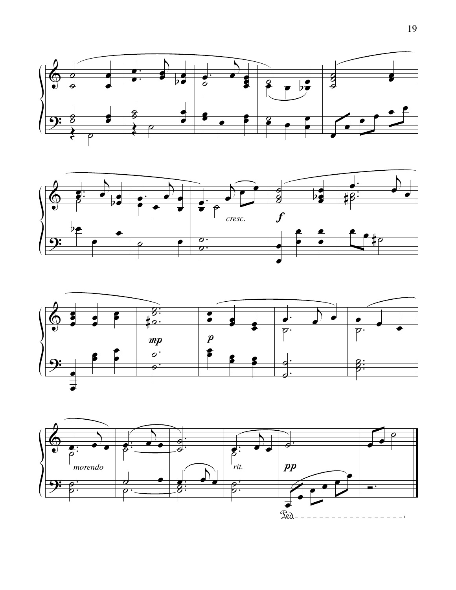





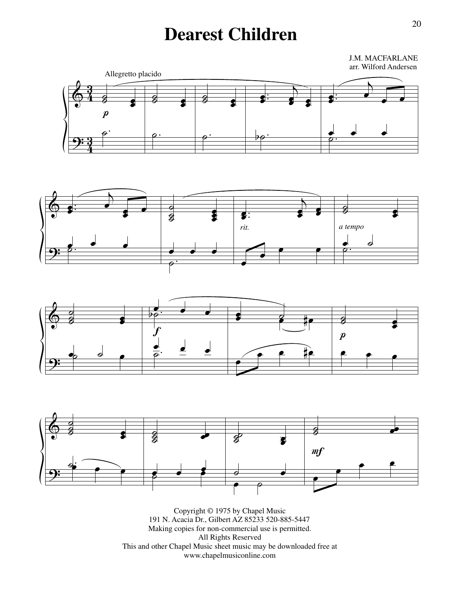### **Dearest Children**

J.M. MACFARLANE arr. Wilford Andersen







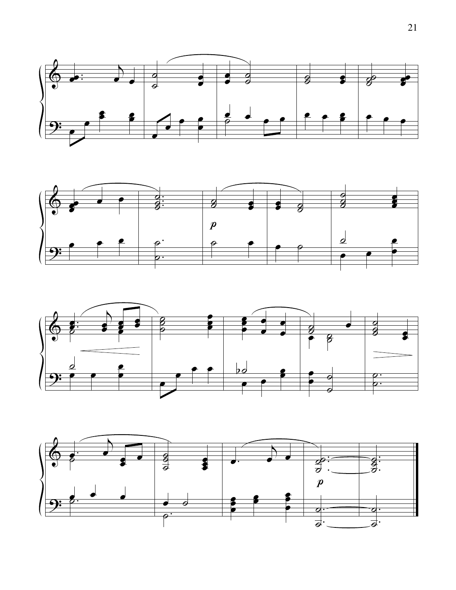





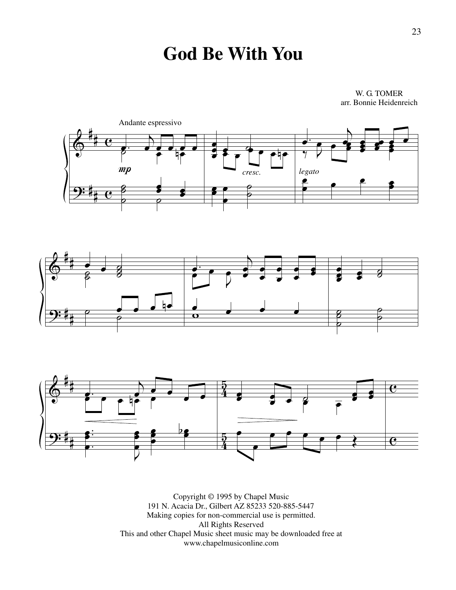### **God Be With You**







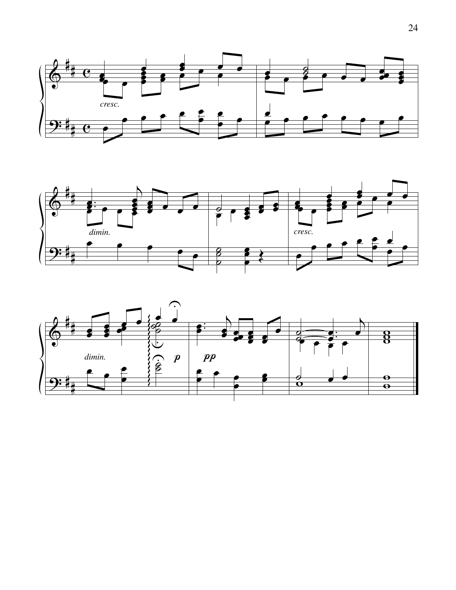



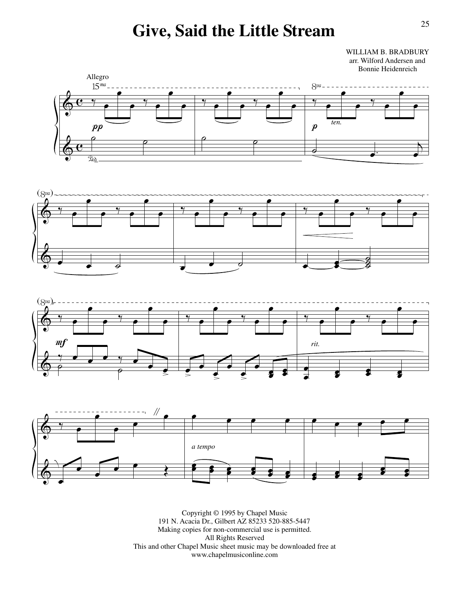## Give, Said the Little Stream 25

WILLIAM B. BRADBURY arr. Wilford Andersen and Bonnie Heidenreich

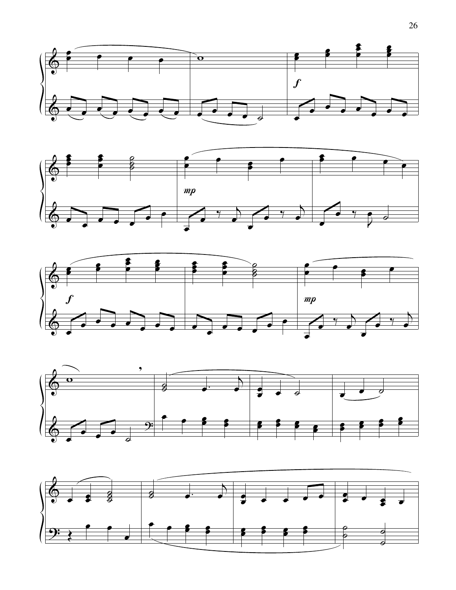